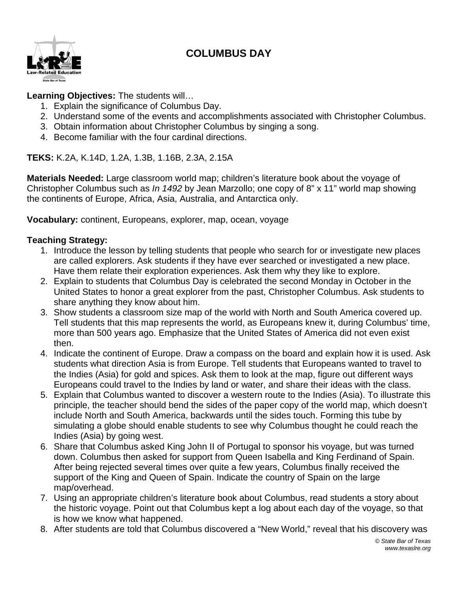# **COLUMBUS DAY**



## **Learning Objectives:** The students will…

- 1. Explain the significance of Columbus Day.
- 2. Understand some of the events and accomplishments associated with Christopher Columbus.
- 3. Obtain information about Christopher Columbus by singing a song.
- 4. Become familiar with the four cardinal directions.

**TEKS:** K.2A, K.14D, 1.2A, 1.3B, 1.16B, 2.3A, 2.15A

**Materials Needed:** Large classroom world map; children's literature book about the voyage of Christopher Columbus such as *In 1492* by Jean Marzollo; one copy of 8" x 11" world map showing the continents of Europe, Africa, Asia, Australia, and Antarctica only.

**Vocabulary:** continent, Europeans, explorer, map, ocean, voyage

### **Teaching Strategy:**

- 1. Introduce the lesson by telling students that people who search for or investigate new places are called explorers. Ask students if they have ever searched or investigated a new place. Have them relate their exploration experiences. Ask them why they like to explore.
- 2. Explain to students that Columbus Day is celebrated the second Monday in October in the United States to honor a great explorer from the past, Christopher Columbus. Ask students to share anything they know about him.
- 3. Show students a classroom size map of the world with North and South America covered up. Tell students that this map represents the world, as Europeans knew it, during Columbus' time, more than 500 years ago. Emphasize that the United States of America did not even exist then.
- 4. Indicate the continent of Europe. Draw a compass on the board and explain how it is used. Ask students what direction Asia is from Europe. Tell students that Europeans wanted to travel to the Indies (Asia) for gold and spices. Ask them to look at the map, figure out different ways Europeans could travel to the Indies by land or water, and share their ideas with the class.
- 5. Explain that Columbus wanted to discover a western route to the Indies (Asia). To illustrate this principle, the teacher should bend the sides of the paper copy of the world map, which doesn't include North and South America, backwards until the sides touch. Forming this tube by simulating a globe should enable students to see why Columbus thought he could reach the Indies (Asia) by going west.
- 6. Share that Columbus asked King John II of Portugal to sponsor his voyage, but was turned down. Columbus then asked for support from Queen Isabella and King Ferdinand of Spain. After being rejected several times over quite a few years, Columbus finally received the support of the King and Queen of Spain. Indicate the country of Spain on the large map/overhead.
- 7. Using an appropriate children's literature book about Columbus, read students a story about the historic voyage. Point out that Columbus kept a log about each day of the voyage, so that is how we know what happened.
- 8. After students are told that Columbus discovered a "New World," reveal that his discovery was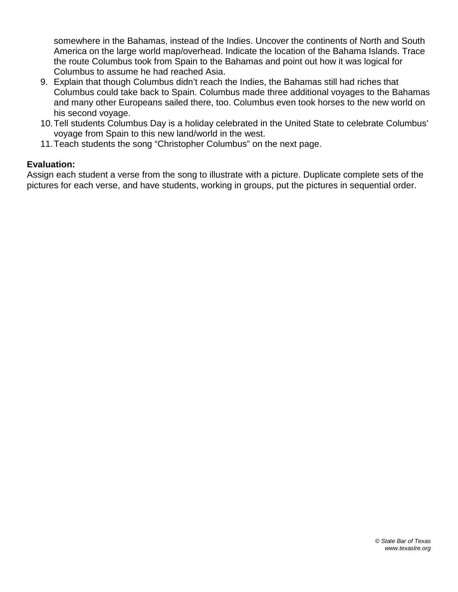somewhere in the Bahamas, instead of the Indies. Uncover the continents of North and South America on the large world map/overhead. Indicate the location of the Bahama Islands. Trace the route Columbus took from Spain to the Bahamas and point out how it was logical for Columbus to assume he had reached Asia.

- 9. Explain that though Columbus didn't reach the Indies, the Bahamas still had riches that Columbus could take back to Spain. Columbus made three additional voyages to the Bahamas and many other Europeans sailed there, too. Columbus even took horses to the new world on his second voyage.
- 10.Tell students Columbus Day is a holiday celebrated in the United State to celebrate Columbus' voyage from Spain to this new land/world in the west.
- 11.Teach students the song "Christopher Columbus" on the next page.

#### **Evaluation:**

Assign each student a verse from the song to illustrate with a picture. Duplicate complete sets of the pictures for each verse, and have students, working in groups, put the pictures in sequential order.